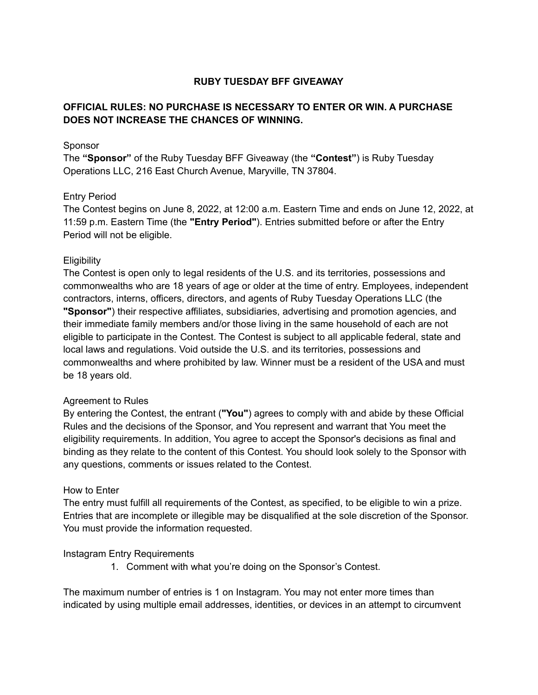# **RUBY TUESDAY BFF GIVEAWAY**

# **OFFICIAL RULES: NO PURCHASE IS NECESSARY TO ENTER OR WIN. A PURCHASE DOES NOT INCREASE THE CHANCES OF WINNING.**

#### Sponsor

The **"Sponsor"** of the Ruby Tuesday BFF Giveaway (the **"Contest"**) is Ruby Tuesday Operations LLC, 216 East Church Avenue, Maryville, TN 37804.

### Entry Period

The Contest begins on June 8, 2022, at 12:00 a.m. Eastern Time and ends on June 12, 2022, at 11:59 p.m. Eastern Time (the **"Entry Period"**). Entries submitted before or after the Entry Period will not be eligible.

#### **Eligibility**

The Contest is open only to legal residents of the U.S. and its territories, possessions and commonwealths who are 18 years of age or older at the time of entry. Employees, independent contractors, interns, officers, directors, and agents of Ruby Tuesday Operations LLC (the **"Sponsor"**) their respective affiliates, subsidiaries, advertising and promotion agencies, and their immediate family members and/or those living in the same household of each are not eligible to participate in the Contest. The Contest is subject to all applicable federal, state and local laws and regulations. Void outside the U.S. and its territories, possessions and commonwealths and where prohibited by law. Winner must be a resident of the USA and must be 18 years old.

#### Agreement to Rules

By entering the Contest, the entrant (**"You"**) agrees to comply with and abide by these Official Rules and the decisions of the Sponsor, and You represent and warrant that You meet the eligibility requirements. In addition, You agree to accept the Sponsor's decisions as final and binding as they relate to the content of this Contest. You should look solely to the Sponsor with any questions, comments or issues related to the Contest.

#### How to Enter

The entry must fulfill all requirements of the Contest, as specified, to be eligible to win a prize. Entries that are incomplete or illegible may be disqualified at the sole discretion of the Sponsor. You must provide the information requested.

#### Instagram Entry Requirements

1. Comment with what you're doing on the Sponsor's Contest.

The maximum number of entries is 1 on Instagram. You may not enter more times than indicated by using multiple email addresses, identities, or devices in an attempt to circumvent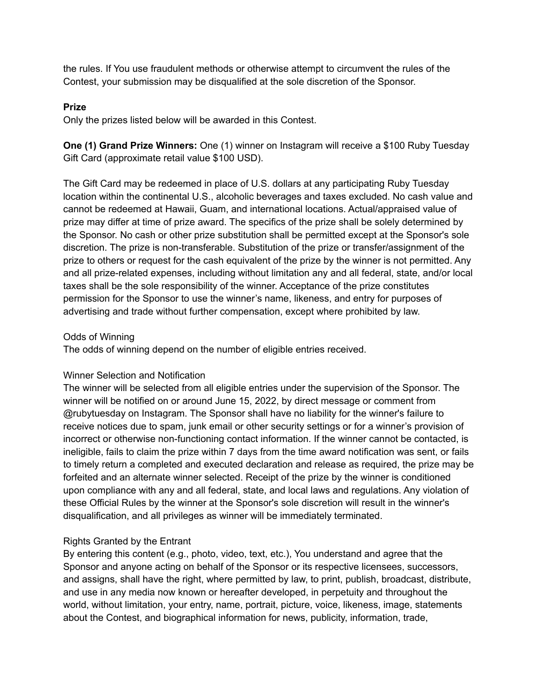the rules. If You use fraudulent methods or otherwise attempt to circumvent the rules of the Contest, your submission may be disqualified at the sole discretion of the Sponsor.

## **Prize**

Only the prizes listed below will be awarded in this Contest.

**One (1) Grand Prize Winners:** One (1) winner on Instagram will receive a \$100 Ruby Tuesday Gift Card (approximate retail value \$100 USD).

The Gift Card may be redeemed in place of U.S. dollars at any participating Ruby Tuesday location within the continental U.S., alcoholic beverages and taxes excluded. No cash value and cannot be redeemed at Hawaii, Guam, and international locations. Actual/appraised value of prize may differ at time of prize award. The specifics of the prize shall be solely determined by the Sponsor. No cash or other prize substitution shall be permitted except at the Sponsor's sole discretion. The prize is non-transferable. Substitution of the prize or transfer/assignment of the prize to others or request for the cash equivalent of the prize by the winner is not permitted. Any and all prize-related expenses, including without limitation any and all federal, state, and/or local taxes shall be the sole responsibility of the winner. Acceptance of the prize constitutes permission for the Sponsor to use the winner's name, likeness, and entry for purposes of advertising and trade without further compensation, except where prohibited by law.

### Odds of Winning

The odds of winning depend on the number of eligible entries received.

### Winner Selection and Notification

The winner will be selected from all eligible entries under the supervision of the Sponsor. The winner will be notified on or around June 15, 2022, by direct message or comment from @rubytuesday on Instagram. The Sponsor shall have no liability for the winner's failure to receive notices due to spam, junk email or other security settings or for a winner's provision of incorrect or otherwise non-functioning contact information. If the winner cannot be contacted, is ineligible, fails to claim the prize within 7 days from the time award notification was sent, or fails to timely return a completed and executed declaration and release as required, the prize may be forfeited and an alternate winner selected. Receipt of the prize by the winner is conditioned upon compliance with any and all federal, state, and local laws and regulations. Any violation of these Official Rules by the winner at the Sponsor's sole discretion will result in the winner's disqualification, and all privileges as winner will be immediately terminated.

# Rights Granted by the Entrant

By entering this content (e.g., photo, video, text, etc.), You understand and agree that the Sponsor and anyone acting on behalf of the Sponsor or its respective licensees, successors, and assigns, shall have the right, where permitted by law, to print, publish, broadcast, distribute, and use in any media now known or hereafter developed, in perpetuity and throughout the world, without limitation, your entry, name, portrait, picture, voice, likeness, image, statements about the Contest, and biographical information for news, publicity, information, trade,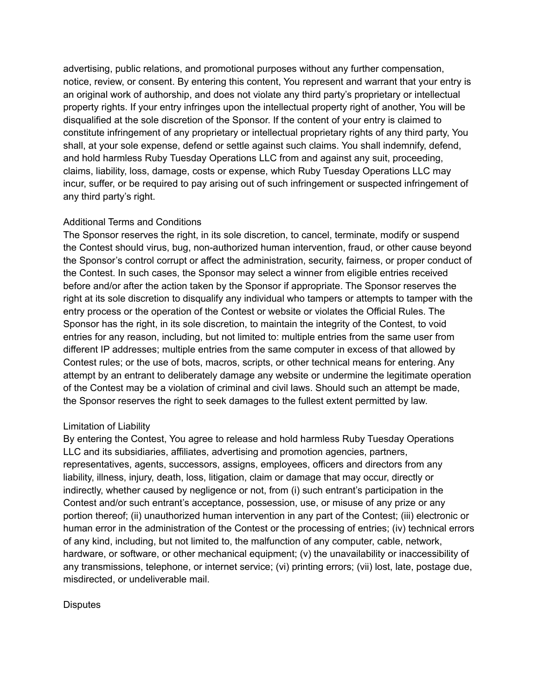advertising, public relations, and promotional purposes without any further compensation, notice, review, or consent. By entering this content, You represent and warrant that your entry is an original work of authorship, and does not violate any third party's proprietary or intellectual property rights. If your entry infringes upon the intellectual property right of another, You will be disqualified at the sole discretion of the Sponsor. If the content of your entry is claimed to constitute infringement of any proprietary or intellectual proprietary rights of any third party, You shall, at your sole expense, defend or settle against such claims. You shall indemnify, defend, and hold harmless Ruby Tuesday Operations LLC from and against any suit, proceeding, claims, liability, loss, damage, costs or expense, which Ruby Tuesday Operations LLC may incur, suffer, or be required to pay arising out of such infringement or suspected infringement of any third party's right.

# Additional Terms and Conditions

The Sponsor reserves the right, in its sole discretion, to cancel, terminate, modify or suspend the Contest should virus, bug, non-authorized human intervention, fraud, or other cause beyond the Sponsor's control corrupt or affect the administration, security, fairness, or proper conduct of the Contest. In such cases, the Sponsor may select a winner from eligible entries received before and/or after the action taken by the Sponsor if appropriate. The Sponsor reserves the right at its sole discretion to disqualify any individual who tampers or attempts to tamper with the entry process or the operation of the Contest or website or violates the Official Rules. The Sponsor has the right, in its sole discretion, to maintain the integrity of the Contest, to void entries for any reason, including, but not limited to: multiple entries from the same user from different IP addresses; multiple entries from the same computer in excess of that allowed by Contest rules; or the use of bots, macros, scripts, or other technical means for entering. Any attempt by an entrant to deliberately damage any website or undermine the legitimate operation of the Contest may be a violation of criminal and civil laws. Should such an attempt be made, the Sponsor reserves the right to seek damages to the fullest extent permitted by law.

### Limitation of Liability

By entering the Contest, You agree to release and hold harmless Ruby Tuesday Operations LLC and its subsidiaries, affiliates, advertising and promotion agencies, partners, representatives, agents, successors, assigns, employees, officers and directors from any liability, illness, injury, death, loss, litigation, claim or damage that may occur, directly or indirectly, whether caused by negligence or not, from (i) such entrant's participation in the Contest and/or such entrant's acceptance, possession, use, or misuse of any prize or any portion thereof; (ii) unauthorized human intervention in any part of the Contest; (iii) electronic or human error in the administration of the Contest or the processing of entries; (iv) technical errors of any kind, including, but not limited to, the malfunction of any computer, cable, network, hardware, or software, or other mechanical equipment; (v) the unavailability or inaccessibility of any transmissions, telephone, or internet service; (vi) printing errors; (vii) lost, late, postage due, misdirected, or undeliverable mail.

### **Disputes**